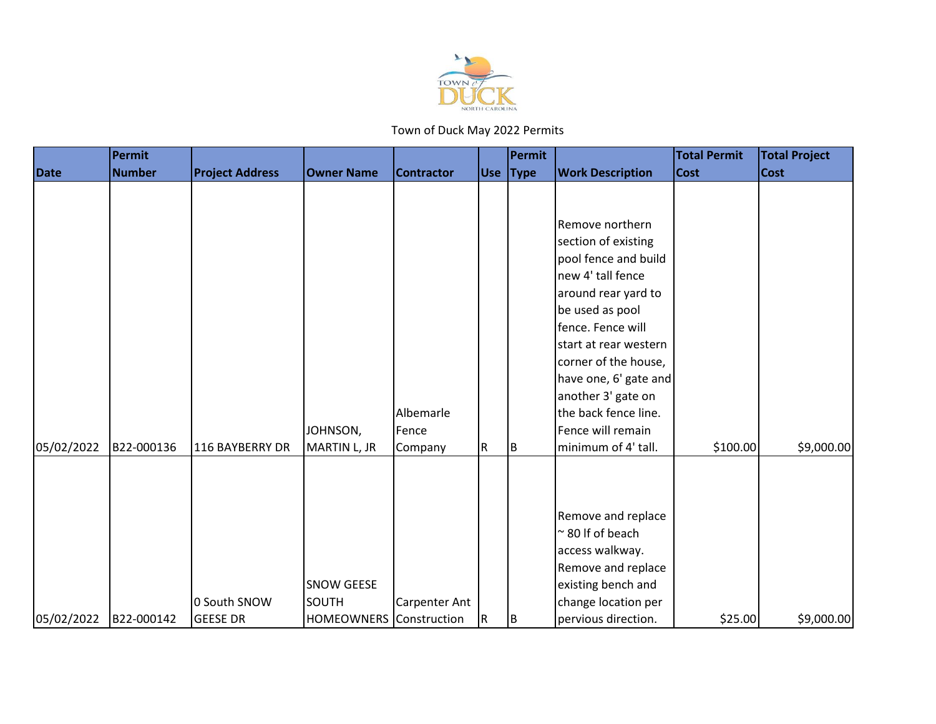

|             | Permit        |                        |                                |                      |   | Permit   |                          | <b>Total Permit</b> | <b>Total Project</b> |
|-------------|---------------|------------------------|--------------------------------|----------------------|---|----------|--------------------------|---------------------|----------------------|
| <b>Date</b> | <b>Number</b> | <b>Project Address</b> | <b>Owner Name</b>              | <b>Contractor</b>    |   | Use Type | <b>Work Description</b>  | <b>Cost</b>         | <b>Cost</b>          |
|             |               |                        |                                |                      |   |          |                          |                     |                      |
|             |               |                        |                                |                      |   |          |                          |                     |                      |
|             |               |                        |                                |                      |   |          | Remove northern          |                     |                      |
|             |               |                        |                                |                      |   |          | section of existing      |                     |                      |
|             |               |                        |                                |                      |   |          | pool fence and build     |                     |                      |
|             |               |                        |                                |                      |   |          | new 4' tall fence        |                     |                      |
|             |               |                        |                                |                      |   |          | around rear yard to      |                     |                      |
|             |               |                        |                                |                      |   |          | be used as pool          |                     |                      |
|             |               |                        |                                |                      |   |          | fence. Fence will        |                     |                      |
|             |               |                        |                                |                      |   |          | start at rear western    |                     |                      |
|             |               |                        |                                |                      |   |          | corner of the house,     |                     |                      |
|             |               |                        |                                |                      |   |          | have one, 6' gate and    |                     |                      |
|             |               |                        |                                |                      |   |          | another 3' gate on       |                     |                      |
|             |               |                        |                                | Albemarle            |   |          | the back fence line.     |                     |                      |
|             |               |                        | JOHNSON,                       | Fence                |   |          | Fence will remain        |                     |                      |
| 05/02/2022  | B22-000136    | 116 BAYBERRY DR        | MARTIN L, JR                   | Company              | R | B        | minimum of 4' tall.      | \$100.00            | \$9,000.00           |
|             |               |                        |                                |                      |   |          |                          |                     |                      |
|             |               |                        |                                |                      |   |          |                          |                     |                      |
|             |               |                        |                                |                      |   |          |                          |                     |                      |
|             |               |                        |                                |                      |   |          | Remove and replace       |                     |                      |
|             |               |                        |                                |                      |   |          | $\approx$ 80 If of beach |                     |                      |
|             |               |                        |                                |                      |   |          | access walkway.          |                     |                      |
|             |               |                        |                                |                      |   |          | Remove and replace       |                     |                      |
|             |               |                        | SNOW GEESE                     |                      |   |          | existing bench and       |                     |                      |
|             |               | 0 South SNOW           | <b>SOUTH</b>                   | <b>Carpenter Ant</b> |   |          | change location per      |                     |                      |
| 05/02/2022  | B22-000142    | <b>GEESE DR</b>        | <b>HOMEOWNERS</b> Construction |                      | R | B        | pervious direction.      | \$25.00             | \$9,000.00           |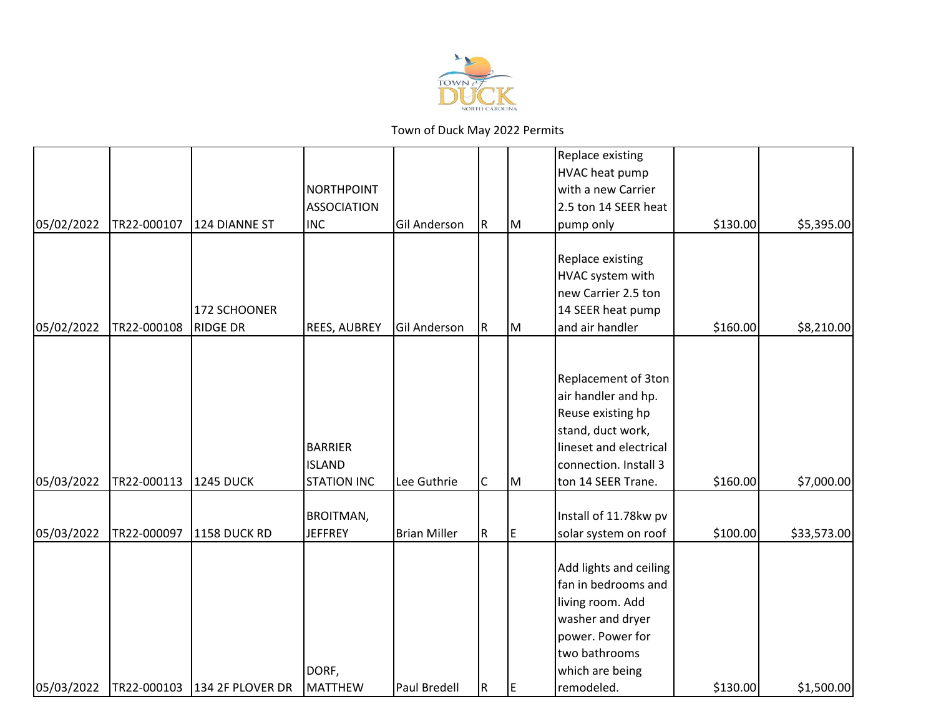

|            |             |                              |                     |                     |             |    | Replace existing       |          |             |
|------------|-------------|------------------------------|---------------------|---------------------|-------------|----|------------------------|----------|-------------|
|            |             |                              |                     |                     |             |    | HVAC heat pump         |          |             |
|            |             |                              | <b>NORTHPOINT</b>   |                     |             |    | with a new Carrier     |          |             |
|            |             |                              | <b>ASSOCIATION</b>  |                     |             |    | 2.5 ton 14 SEER heat   |          |             |
| 05/02/2022 | TR22-000107 | 124 DIANNE ST                | <b>INC</b>          | <b>Gil Anderson</b> | R.          | M  | pump only              | \$130.00 | \$5,395.00  |
|            |             |                              |                     |                     |             |    | Replace existing       |          |             |
|            |             |                              |                     |                     |             |    | HVAC system with       |          |             |
|            |             |                              |                     |                     |             |    | new Carrier 2.5 ton    |          |             |
|            |             | 172 SCHOONER                 |                     |                     |             |    | 14 SEER heat pump      |          |             |
| 05/02/2022 | TR22-000108 | <b>RIDGE DR</b>              | <b>REES, AUBREY</b> | Gil Anderson        | R.          | Iм | and air handler        | \$160.00 | \$8,210.00  |
|            |             |                              |                     |                     |             |    |                        |          |             |
|            |             |                              |                     |                     |             |    | Replacement of 3ton    |          |             |
|            |             |                              |                     |                     |             |    | air handler and hp.    |          |             |
|            |             |                              |                     |                     |             |    | Reuse existing hp      |          |             |
|            |             |                              |                     |                     |             |    | stand, duct work,      |          |             |
|            |             |                              | <b>BARRIER</b>      |                     |             |    | lineset and electrical |          |             |
|            |             |                              | <b>ISLAND</b>       |                     |             |    | connection. Install 3  |          |             |
| 05/03/2022 | TR22-000113 | <b>1245 DUCK</b>             | <b>STATION INC</b>  | Lee Guthrie         | C           | Iм | ton 14 SEER Trane.     | \$160.00 | \$7,000.00  |
|            |             |                              | <b>BROITMAN,</b>    |                     |             |    | Install of 11.78kw pv  |          |             |
| 05/03/2022 | TR22-000097 | 1158 DUCK RD                 | <b>JEFFREY</b>      | <b>Brian Miller</b> | $\mathsf R$ | E  | solar system on roof   | \$100.00 | \$33,573.00 |
|            |             |                              |                     |                     |             |    |                        |          |             |
|            |             |                              |                     |                     |             |    | Add lights and ceiling |          |             |
|            |             |                              |                     |                     |             |    | fan in bedrooms and    |          |             |
|            |             |                              |                     |                     |             |    | living room. Add       |          |             |
|            |             |                              |                     |                     |             |    | washer and dryer       |          |             |
|            |             |                              |                     |                     |             |    | power. Power for       |          |             |
|            |             |                              |                     |                     |             |    | two bathrooms          |          |             |
|            |             |                              | DORF,               |                     |             |    | which are being        |          |             |
| 05/03/2022 |             | TR22-000103 134 2F PLOVER DR | MATTHEW             | Paul Bredell        | R.          | E  | remodeled.             | \$130.00 | \$1,500.00  |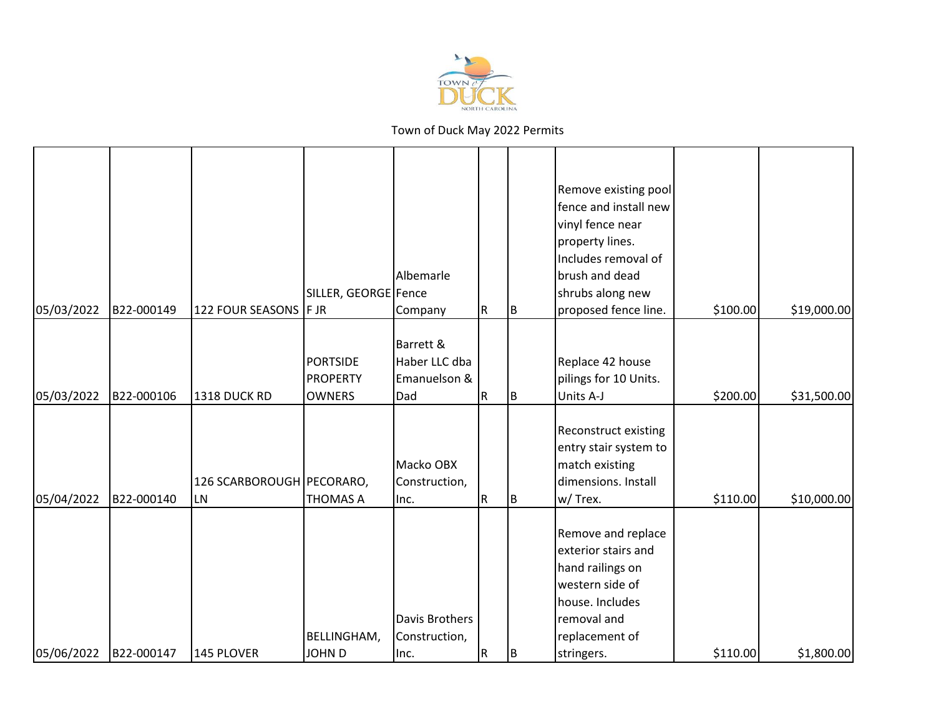

|            |            |                                        | SILLER, GEORGE Fence                                | Albemarle                                         |           |     | Remove existing pool<br>fence and install new<br>vinyl fence near<br>property lines.<br>Includes removal of<br>brush and dead<br>shrubs along new  |          |             |
|------------|------------|----------------------------------------|-----------------------------------------------------|---------------------------------------------------|-----------|-----|----------------------------------------------------------------------------------------------------------------------------------------------------|----------|-------------|
| 05/03/2022 | B22-000149 | 122 FOUR SEASONS   F JR                |                                                     | Company                                           | R         | B   | proposed fence line.                                                                                                                               | \$100.00 | \$19,000.00 |
| 05/03/2022 | B22-000106 | 1318 DUCK RD                           | <b>PORTSIDE</b><br><b>PROPERTY</b><br><b>OWNERS</b> | Barrett &<br>Haber LLC dba<br>Emanuelson &<br>Dad | R         | İΒ. | Replace 42 house<br>pilings for 10 Units.<br>Units A-J                                                                                             | \$200.00 | \$31,500.00 |
| 05/04/2022 | B22-000140 | 126 SCARBOROUGH PECORARO,<br><b>LN</b> | <b>THOMAS A</b>                                     | Macko OBX<br>Construction,<br>Inc.                | R         | B   | Reconstruct existing<br>entry stair system to<br>match existing<br>dimensions. Install<br>w/ Trex.                                                 | \$110.00 | \$10,000.00 |
| 05/06/2022 | B22-000147 | 145 PLOVER                             | BELLINGHAM,<br><b>JOHN D</b>                        | Davis Brothers<br>Construction,<br>Inc.           | ${\sf R}$ | B   | Remove and replace<br>exterior stairs and<br>hand railings on<br>western side of<br>house. Includes<br>removal and<br>replacement of<br>stringers. | \$110.00 | \$1,800.00  |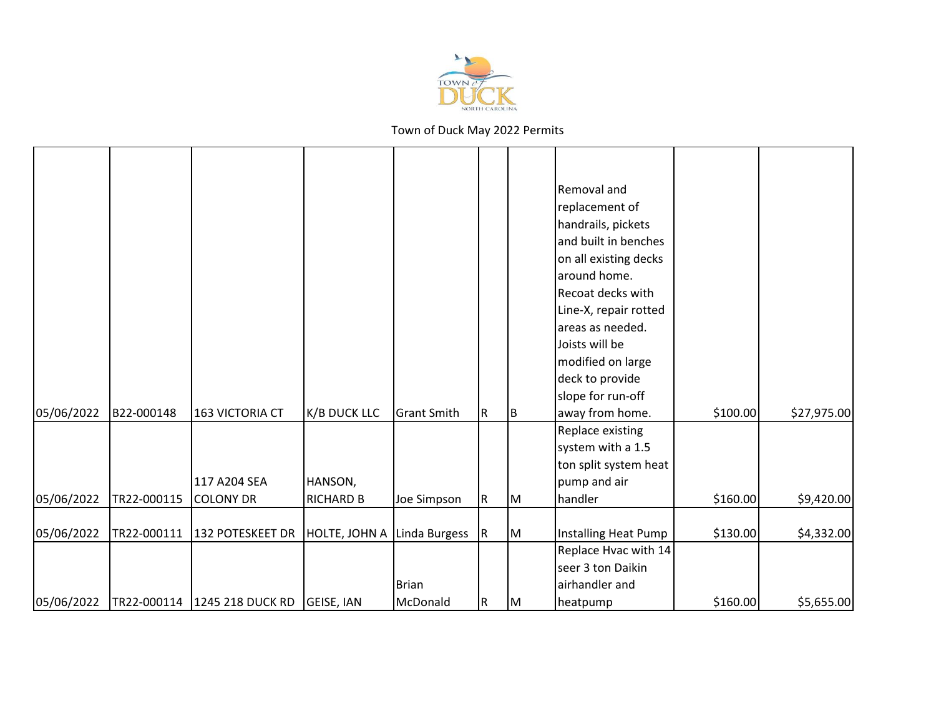

|            |             |                                |                             |                    |             |    | Removal and<br>replacement of<br>handrails, pickets<br>and built in benches<br>on all existing decks<br>around home.<br>Recoat decks with<br>Line-X, repair rotted<br>areas as needed.<br>Joists will be<br>modified on large<br>deck to provide<br>slope for run-off |          |             |
|------------|-------------|--------------------------------|-----------------------------|--------------------|-------------|----|-----------------------------------------------------------------------------------------------------------------------------------------------------------------------------------------------------------------------------------------------------------------------|----------|-------------|
| 05/06/2022 | B22-000148  | 163 VICTORIA CT                | <b>K/B DUCK LLC</b>         | <b>Grant Smith</b> | R           | ΙB | away from home.                                                                                                                                                                                                                                                       | \$100.00 | \$27,975.00 |
|            |             | 117 A204 SEA                   | HANSON,                     |                    |             |    | Replace existing<br>system with a 1.5<br>ton split system heat<br>pump and air                                                                                                                                                                                        |          |             |
| 05/06/2022 | TR22-000115 | <b>COLONY DR</b>               | <b>RICHARD B</b>            | Joe Simpson        | $\mathsf R$ | IМ | handler                                                                                                                                                                                                                                                               | \$160.00 | \$9,420.00  |
| 05/06/2022 | TR22-000111 | 132 POTESKEET DR               | HOLTE, JOHN A Linda Burgess |                    | IR.         | M  | Installing Heat Pump                                                                                                                                                                                                                                                  | \$130.00 | \$4,332.00  |
|            |             |                                |                             | Brian              |             |    | Replace Hvac with 14<br>seer 3 ton Daikin<br>airhandler and                                                                                                                                                                                                           |          |             |
| 05/06/2022 |             | TR22-000114   1245 218 DUCK RD | GEISE, IAN                  | McDonald           | $\mathsf R$ | IМ | heatpump                                                                                                                                                                                                                                                              | \$160.00 | \$5,655.00  |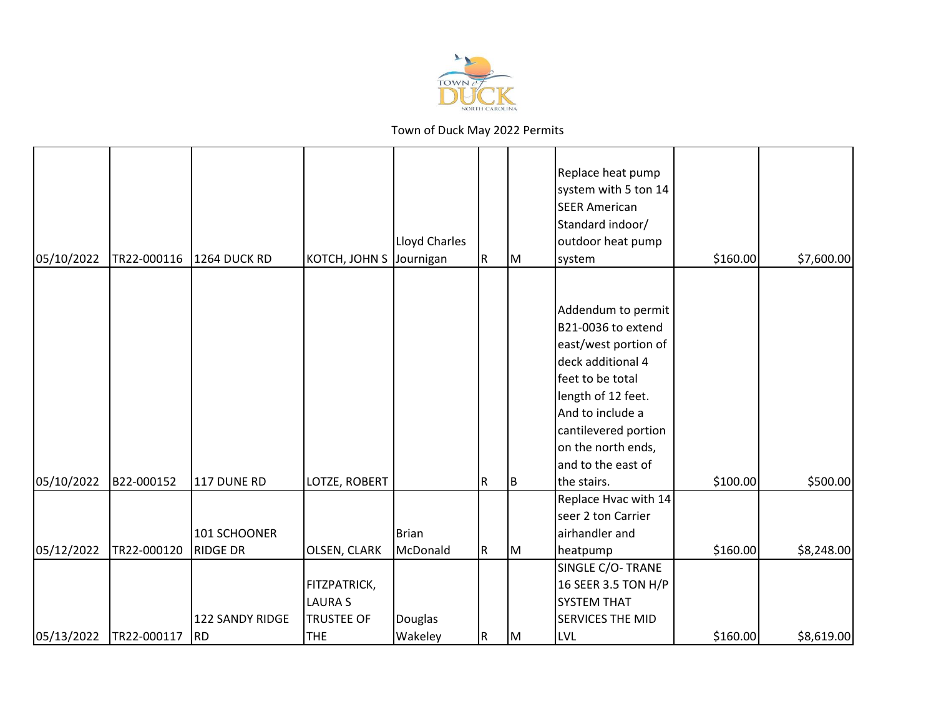

| 05/10/2022 | TR22-000116 | 1264 DUCK RD    | KOTCH, JOHN S     | <b>Lloyd Charles</b><br>Journigan | R           | Iм | Replace heat pump<br>system with 5 ton 14<br><b>SEER American</b><br>Standard indoor/<br>outdoor heat pump<br>system | \$160.00 | \$7,600.00 |
|------------|-------------|-----------------|-------------------|-----------------------------------|-------------|----|----------------------------------------------------------------------------------------------------------------------|----------|------------|
|            |             |                 |                   |                                   |             |    |                                                                                                                      |          |            |
|            |             |                 |                   |                                   |             |    | Addendum to permit                                                                                                   |          |            |
|            |             |                 |                   |                                   |             |    | B21-0036 to extend                                                                                                   |          |            |
|            |             |                 |                   |                                   |             |    | east/west portion of                                                                                                 |          |            |
|            |             |                 |                   |                                   |             |    | deck additional 4                                                                                                    |          |            |
|            |             |                 |                   |                                   |             |    | feet to be total                                                                                                     |          |            |
|            |             |                 |                   |                                   |             |    | length of 12 feet.                                                                                                   |          |            |
|            |             |                 |                   |                                   |             |    | And to include a                                                                                                     |          |            |
|            |             |                 |                   |                                   |             |    | cantilevered portion                                                                                                 |          |            |
|            |             |                 |                   |                                   |             |    | on the north ends,                                                                                                   |          |            |
|            |             |                 |                   |                                   |             |    | and to the east of                                                                                                   |          |            |
| 05/10/2022 | B22-000152  | 117 DUNE RD     | LOTZE, ROBERT     |                                   | $\mathsf R$ | IΒ | the stairs.                                                                                                          | \$100.00 | \$500.00   |
|            |             |                 |                   |                                   |             |    | Replace Hvac with 14                                                                                                 |          |            |
|            |             |                 |                   |                                   |             |    | seer 2 ton Carrier                                                                                                   |          |            |
|            |             | 101 SCHOONER    |                   | <b>Brian</b>                      |             |    | airhandler and                                                                                                       |          |            |
| 05/12/2022 | TR22-000120 | <b>RIDGE DR</b> | OLSEN, CLARK      | McDonald                          | $\mathsf R$ | Iм | heatpump                                                                                                             | \$160.00 | \$8,248.00 |
|            |             |                 |                   |                                   |             |    | SINGLE C/O-TRANE                                                                                                     |          |            |
|            |             |                 | FITZPATRICK,      |                                   |             |    | 16 SEER 3.5 TON H/P                                                                                                  |          |            |
|            |             |                 | <b>LAURA S</b>    |                                   |             |    | <b>SYSTEM THAT</b>                                                                                                   |          |            |
|            |             | 122 SANDY RIDGE | <b>TRUSTEE OF</b> | Douglas                           |             |    | SERVICES THE MID                                                                                                     |          |            |
| 05/13/2022 | TR22-000117 | <b>RD</b>       | <b>THE</b>        | Wakeley                           | R.          | Iм | <b>LVL</b>                                                                                                           | \$160.00 | \$8,619.00 |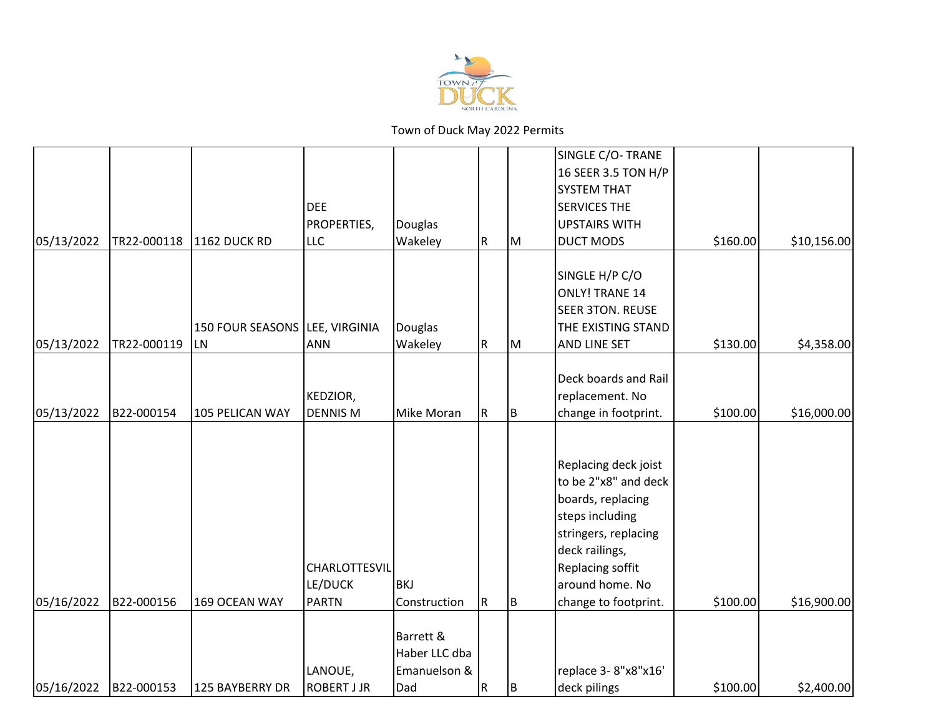

|            |             |                                |                    |                   |             |     | SINGLE C/O- TRANE       |          |             |
|------------|-------------|--------------------------------|--------------------|-------------------|-------------|-----|-------------------------|----------|-------------|
|            |             |                                |                    |                   |             |     | 16 SEER 3.5 TON H/P     |          |             |
|            |             |                                |                    |                   |             |     | <b>SYSTEM THAT</b>      |          |             |
|            |             |                                | <b>DEE</b>         |                   |             |     | <b>SERVICES THE</b>     |          |             |
|            |             |                                | PROPERTIES,        | Douglas           |             |     | <b>UPSTAIRS WITH</b>    |          |             |
| 05/13/2022 | TR22-000118 | 1162 DUCK RD                   | <b>LLC</b>         | Wakeley           | R           | Iм  | <b>DUCT MODS</b>        | \$160.00 | \$10,156.00 |
|            |             |                                |                    |                   |             |     |                         |          |             |
|            |             |                                |                    |                   |             |     | SINGLE H/P C/O          |          |             |
|            |             |                                |                    |                   |             |     | <b>ONLY! TRANE 14</b>   |          |             |
|            |             |                                |                    |                   |             |     | <b>SEER 3TON. REUSE</b> |          |             |
|            |             | 150 FOUR SEASONS LEE, VIRGINIA |                    | Douglas           |             |     | THE EXISTING STAND      |          |             |
| 05/13/2022 | TR22-000119 | <b>LN</b>                      | <b>ANN</b>         | Wakeley           | $\mathsf R$ | IМ  | AND LINE SET            | \$130.00 | \$4,358.00  |
|            |             |                                |                    |                   |             |     |                         |          |             |
|            |             |                                |                    |                   |             |     | Deck boards and Rail    |          |             |
|            |             |                                | KEDZIOR,           |                   |             |     | replacement. No         |          |             |
| 05/13/2022 | B22-000154  | 105 PELICAN WAY                | <b>DENNIS M</b>    | <b>Mike Moran</b> | $\mathsf R$ | ΙB. | change in footprint.    | \$100.00 | \$16,000.00 |
|            |             |                                |                    |                   |             |     |                         |          |             |
|            |             |                                |                    |                   |             |     |                         |          |             |
|            |             |                                |                    |                   |             |     | Replacing deck joist    |          |             |
|            |             |                                |                    |                   |             |     | to be 2"x8" and deck    |          |             |
|            |             |                                |                    |                   |             |     | boards, replacing       |          |             |
|            |             |                                |                    |                   |             |     | steps including         |          |             |
|            |             |                                |                    |                   |             |     | stringers, replacing    |          |             |
|            |             |                                |                    |                   |             |     | deck railings,          |          |             |
|            |             |                                | CHARLOTTESVIL      |                   |             |     | Replacing soffit        |          |             |
|            |             |                                | LE/DUCK            | <b>BKJ</b>        |             |     | around home. No         |          |             |
| 05/16/2022 | B22-000156  | 169 OCEAN WAY                  | <b>PARTN</b>       | Construction      | R.          | Iв. | change to footprint.    | \$100.00 | \$16,900.00 |
|            |             |                                |                    |                   |             |     |                         |          |             |
|            |             |                                |                    | Barrett &         |             |     |                         |          |             |
|            |             |                                |                    | Haber LLC dba     |             |     |                         |          |             |
|            |             |                                | LANOUE,            | Emanuelson &      |             |     | replace 3-8"x8"x16'     |          |             |
| 05/16/2022 | B22-000153  | 125 BAYBERRY DR                | <b>ROBERT J JR</b> | Dad               | R           | B   | deck pilings            | \$100.00 | \$2,400.00  |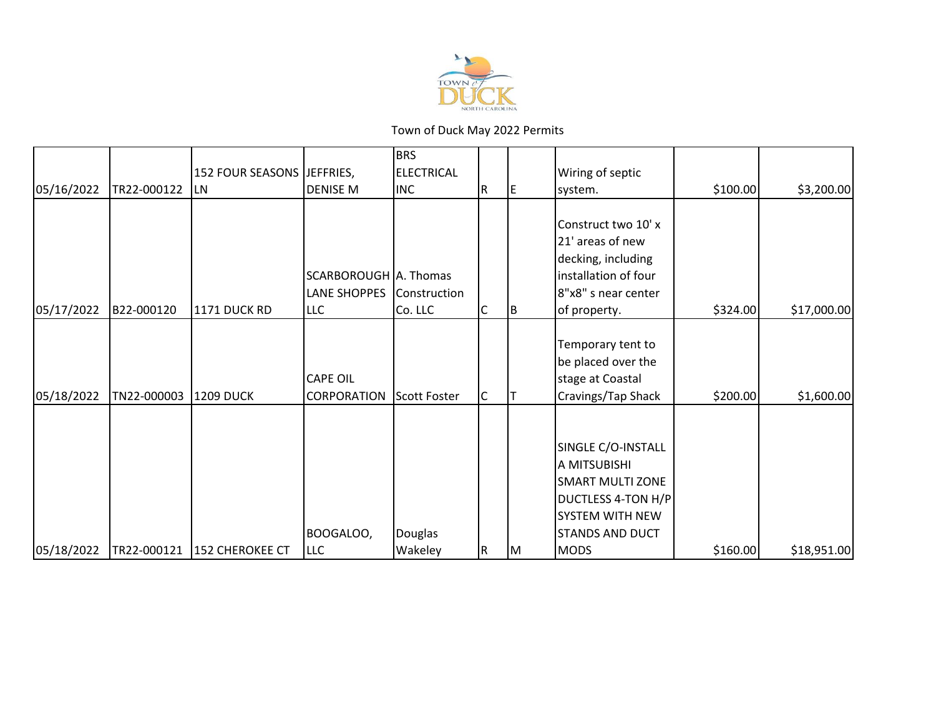

|            |             |                            |                                              | <b>BRS</b>              |   |    |                                                                                                                                                 |          |             |
|------------|-------------|----------------------------|----------------------------------------------|-------------------------|---|----|-------------------------------------------------------------------------------------------------------------------------------------------------|----------|-------------|
|            |             | 152 FOUR SEASONS JEFFRIES, |                                              | <b>ELECTRICAL</b>       |   |    | Wiring of septic                                                                                                                                |          |             |
| 05/16/2022 | TR22-000122 | <b>LN</b>                  | <b>DENISE M</b>                              | <b>INC</b>              | R | E  | system.                                                                                                                                         | \$100.00 | \$3,200.00  |
| 05/17/2022 | B22-000120  | 1171 DUCK RD               | SCARBOROUGH A. Thomas<br>LANE SHOPPES<br>LLC | Construction<br>Co. LLC | С | ΙB | Construct two 10' x<br>21' areas of new<br>decking, including<br>installation of four<br>8"x8" s near center<br>of property.                    | \$324.00 | \$17,000.00 |
| 05/18/2022 | TN22-000003 | <b>1209 DUCK</b>           | <b>CAPE OIL</b><br><b>CORPORATION</b>        | Scott Foster            | C |    | Temporary tent to<br>be placed over the<br>stage at Coastal<br>Cravings/Tap Shack                                                               | \$200.00 | \$1,600.00  |
| 05/18/2022 | TR22-000121 | 152 CHEROKEE CT            | BOOGALOO,<br>LLC                             | Douglas<br>Wakeley      | R | ΙM | SINGLE C/O-INSTALL<br>A MITSUBISHI<br><b>SMART MULTI ZONE</b><br>DUCTLESS 4-TON H/P<br>SYSTEM WITH NEW<br><b>STANDS AND DUCT</b><br><b>MODS</b> | \$160.00 | \$18,951.00 |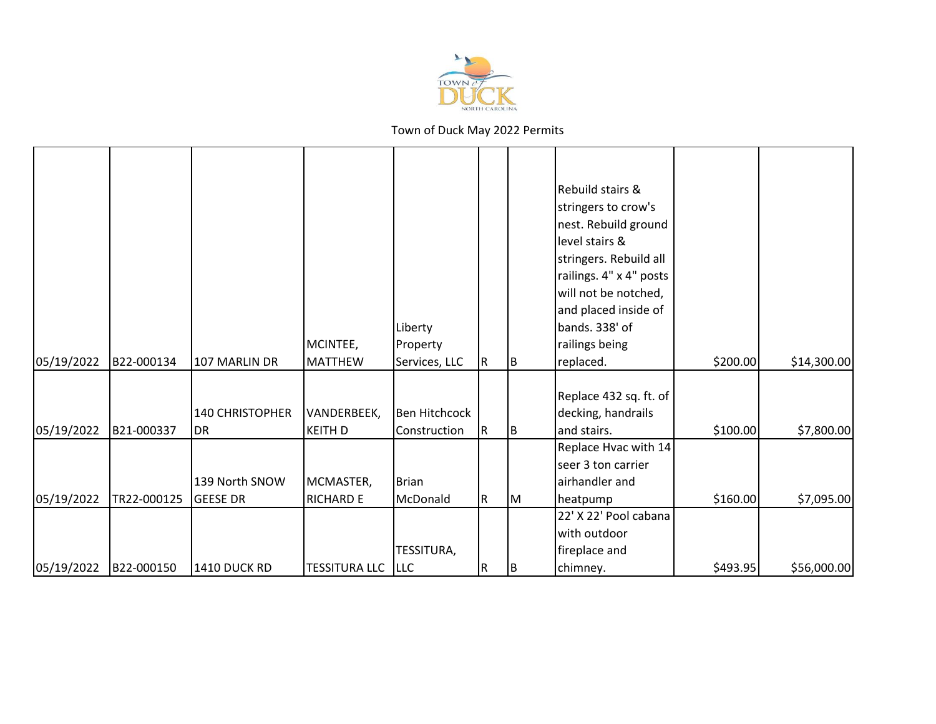

| 05/19/2022 | B22-000134  | 107 MARLIN DR                       | MCINTEE,<br><b>MATTHEW</b>    | Liberty<br>Property<br>Services, LLC | R  | ΙB | Rebuild stairs &<br>stringers to crow's<br>nest. Rebuild ground<br>level stairs &<br>stringers. Rebuild all<br>railings. 4" x 4" posts<br>will not be notched,<br>and placed inside of<br>bands. 338' of<br>railings being<br>replaced. | \$200.00 | \$14,300.00 |
|------------|-------------|-------------------------------------|-------------------------------|--------------------------------------|----|----|-----------------------------------------------------------------------------------------------------------------------------------------------------------------------------------------------------------------------------------------|----------|-------------|
|            |             |                                     |                               |                                      |    |    |                                                                                                                                                                                                                                         |          |             |
| 05/19/2022 | B21-000337  | <b>140 CHRISTOPHER</b><br><b>DR</b> | VANDERBEEK,<br><b>KEITH D</b> | Ben Hitchcock<br>Construction        | R  | ΙB | Replace 432 sq. ft. of<br>decking, handrails<br>and stairs.                                                                                                                                                                             | \$100.00 | \$7,800.00  |
|            |             |                                     |                               |                                      |    |    | Replace Hvac with 14<br>seer 3 ton carrier                                                                                                                                                                                              |          |             |
|            |             | 139 North SNOW                      | MCMASTER,                     | Brian                                |    |    | airhandler and                                                                                                                                                                                                                          |          |             |
| 05/19/2022 | TR22-000125 | <b>GEESE DR</b>                     | <b>RICHARD E</b>              | McDonald                             | R. | IМ | heatpump                                                                                                                                                                                                                                | \$160.00 | \$7,095.00  |
|            |             |                                     |                               |                                      |    |    | 22' X 22' Pool cabana                                                                                                                                                                                                                   |          |             |
|            |             |                                     |                               |                                      |    |    | with outdoor                                                                                                                                                                                                                            |          |             |
|            |             |                                     |                               | <b>TESSITURA,</b>                    |    |    | fireplace and                                                                                                                                                                                                                           |          |             |
| 05/19/2022 | B22-000150  | 1410 DUCK RD                        | <b>TESSITURA LLC</b>          | <b>ILLC</b>                          | R  | B  | chimney.                                                                                                                                                                                                                                | \$493.95 | \$56,000.00 |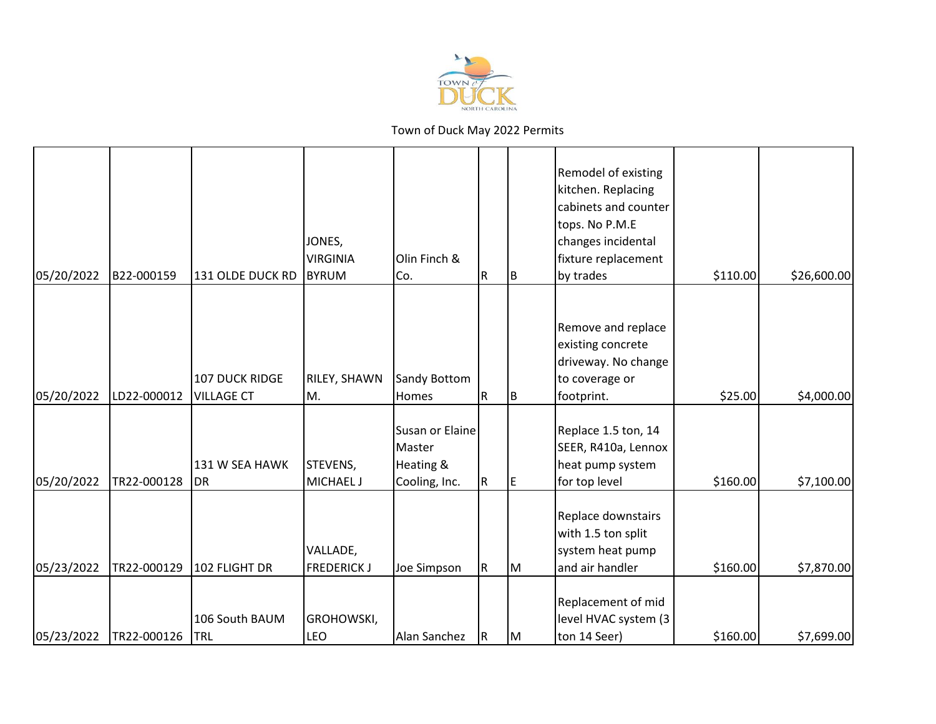

|            |             |                                     | JONES,<br><b>VIRGINIA</b>      | Olin Finch &                                            |           |     | Remodel of existing<br>kitchen. Replacing<br>cabinets and counter<br>tops. No P.M.E<br>changes incidental<br>fixture replacement |          |             |
|------------|-------------|-------------------------------------|--------------------------------|---------------------------------------------------------|-----------|-----|----------------------------------------------------------------------------------------------------------------------------------|----------|-------------|
| 05/20/2022 | B22-000159  | 131 OLDE DUCK RD                    | <b>BYRUM</b>                   | Co.                                                     | R         | ΙB. | by trades                                                                                                                        | \$110.00 | \$26,600.00 |
| 05/20/2022 | LD22-000012 | 107 DUCK RIDGE<br><b>VILLAGE CT</b> | RILEY, SHAWN<br>M.             | Sandy Bottom<br>Homes                                   | ${\sf R}$ | B   | Remove and replace<br>existing concrete<br>driveway. No change<br>to coverage or<br>footprint.                                   | \$25.00  | \$4,000.00  |
| 05/20/2022 | TR22-000128 | 131 W SEA HAWK<br>DR                | STEVENS,<br><b>MICHAEL J</b>   | Susan or Elaine<br>Master<br>Heating &<br>Cooling, Inc. | ${\sf R}$ | IE. | Replace 1.5 ton, 14<br>SEER, R410a, Lennox<br>heat pump system<br>for top level                                                  | \$160.00 | \$7,100.00  |
| 05/23/2022 | TR22-000129 | 102 FLIGHT DR                       | VALLADE,<br><b>FREDERICK J</b> | Joe Simpson                                             | R         | lм  | Replace downstairs<br>with 1.5 ton split<br>system heat pump<br>and air handler                                                  | \$160.00 | \$7,870.00  |
| 05/23/2022 | TR22-000126 | 106 South BAUM<br>TRL               | GROHOWSKI,<br>LEO              | Alan Sanchez                                            | R         | lм  | Replacement of mid<br>level HVAC system (3<br>ton 14 Seer)                                                                       | \$160.00 | \$7,699.00  |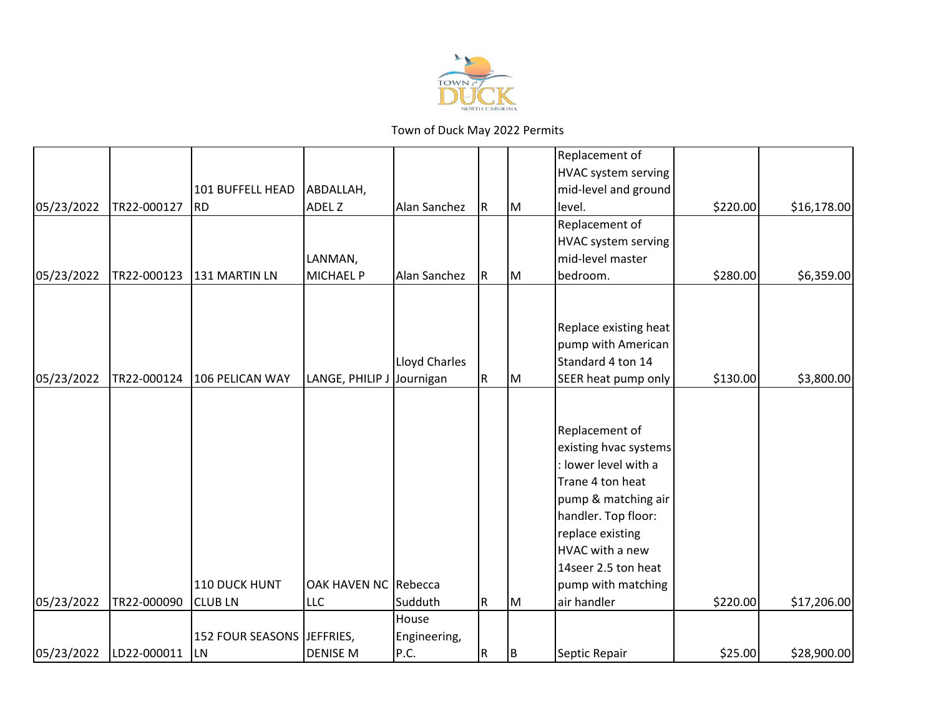

|            |             |                         |                      |               |             |    | Replacement of             |          |             |
|------------|-------------|-------------------------|----------------------|---------------|-------------|----|----------------------------|----------|-------------|
|            |             |                         |                      |               |             |    | <b>HVAC system serving</b> |          |             |
|            |             | 101 BUFFELL HEAD        | ABDALLAH,            |               |             |    | mid-level and ground       |          |             |
| 05/23/2022 | TR22-000127 | <b>RD</b>               | ADEL Z               | Alan Sanchez  | $\mathsf R$ | M  | level.                     | \$220.00 | \$16,178.00 |
|            |             |                         |                      |               |             |    | Replacement of             |          |             |
|            |             |                         |                      |               |             |    | HVAC system serving        |          |             |
|            |             |                         | LANMAN,              |               |             |    | mid-level master           |          |             |
| 05/23/2022 | TR22-000123 | 131 MARTIN LN           | <b>MICHAEL P</b>     | Alan Sanchez  | R           | Iм | bedroom.                   | \$280.00 | \$6,359.00  |
|            |             |                         |                      |               |             |    |                            |          |             |
|            |             |                         |                      |               |             |    |                            |          |             |
|            |             |                         |                      |               |             |    | Replace existing heat      |          |             |
|            |             |                         |                      |               |             |    | pump with American         |          |             |
|            |             |                         |                      | Lloyd Charles |             |    | Standard 4 ton 14          |          |             |
| 05/23/2022 | TR22-000124 | 106 PELICAN WAY         | LANGE, PHILIP J      | Journigan     | ${\sf R}$   | Iм | SEER heat pump only        | \$130.00 | \$3,800.00  |
|            |             |                         |                      |               |             |    |                            |          |             |
|            |             |                         |                      |               |             |    |                            |          |             |
|            |             |                         |                      |               |             |    | Replacement of             |          |             |
|            |             |                         |                      |               |             |    | existing hvac systems      |          |             |
|            |             |                         |                      |               |             |    | : lower level with a       |          |             |
|            |             |                         |                      |               |             |    | Trane 4 ton heat           |          |             |
|            |             |                         |                      |               |             |    | pump & matching air        |          |             |
|            |             |                         |                      |               |             |    | handler. Top floor:        |          |             |
|            |             |                         |                      |               |             |    | replace existing           |          |             |
|            |             |                         |                      |               |             |    | HVAC with a new            |          |             |
|            |             |                         |                      |               |             |    | 14seer 2.5 ton heat        |          |             |
|            |             | 110 DUCK HUNT           | OAK HAVEN NC Rebecca |               |             |    | pump with matching         |          |             |
| 05/23/2022 | TR22-000090 | <b>CLUBLN</b>           | <b>LLC</b>           | Sudduth       | ${\sf R}$   | M  | air handler                | \$220.00 | \$17,206.00 |
|            |             |                         |                      | House         |             |    |                            |          |             |
|            |             | <b>152 FOUR SEASONS</b> | JEFFRIES,            | Engineering,  |             |    |                            |          |             |
| 05/23/2022 | LD22-000011 | <b>LN</b>               | <b>DENISE M</b>      | P.C.          | ${\sf R}$   | B  | Septic Repair              | \$25.00  | \$28,900.00 |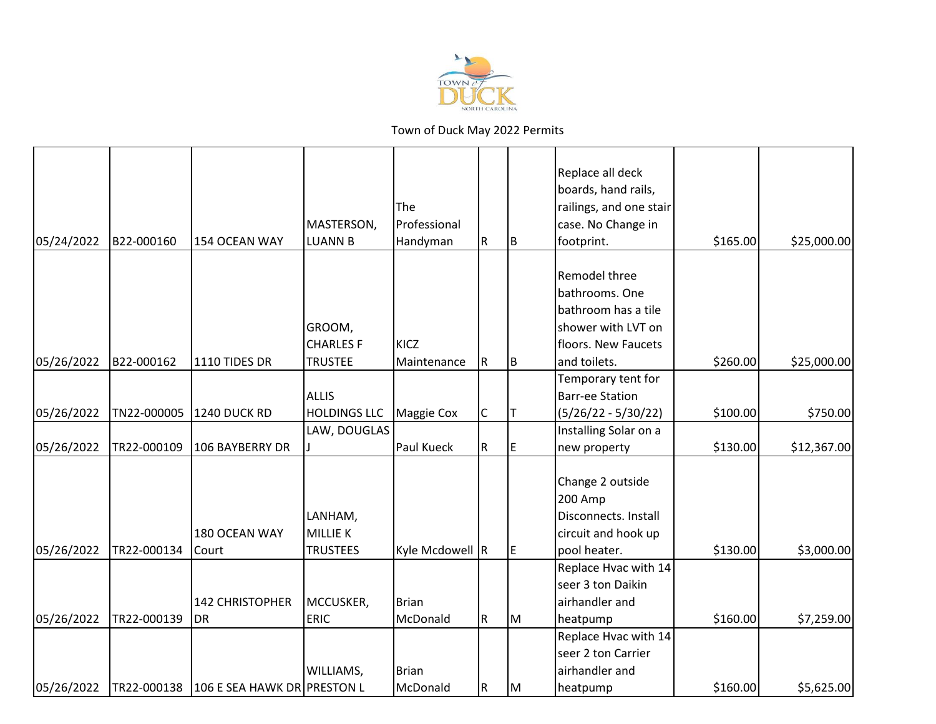

|            |             |                                         |                     | <b>The</b>      |             |    | Replace all deck<br>boards, hand rails,<br>railings, and one stair |          |             |
|------------|-------------|-----------------------------------------|---------------------|-----------------|-------------|----|--------------------------------------------------------------------|----------|-------------|
|            |             |                                         | MASTERSON,          | Professional    |             |    | case. No Change in                                                 |          |             |
| 05/24/2022 | B22-000160  | 154 OCEAN WAY                           | <b>LUANN B</b>      | Handyman        | R           | B  | footprint.                                                         | \$165.00 | \$25,000.00 |
|            |             |                                         |                     |                 |             |    | Remodel three                                                      |          |             |
|            |             |                                         |                     |                 |             |    | bathrooms. One                                                     |          |             |
|            |             |                                         |                     |                 |             |    | bathroom has a tile                                                |          |             |
|            |             |                                         | GROOM,              |                 |             |    | shower with LVT on                                                 |          |             |
|            |             |                                         | <b>CHARLES F</b>    | KICZ            |             |    | floors. New Faucets                                                |          |             |
| 05/26/2022 | B22-000162  | 1110 TIDES DR                           | <b>TRUSTEE</b>      | Maintenance     | R           | ΙB | and toilets.                                                       | \$260.00 | \$25,000.00 |
|            |             |                                         |                     |                 |             |    | Temporary tent for                                                 |          |             |
|            |             |                                         | <b>ALLIS</b>        |                 |             |    | <b>Barr-ee Station</b>                                             |          |             |
| 05/26/2022 | TN22-000005 | <b>1240 DUCK RD</b>                     | <b>HOLDINGS LLC</b> | Maggie Cox      | C           | IΤ | $(5/26/22 - 5/30/22)$                                              | \$100.00 | \$750.00    |
|            |             |                                         | LAW, DOUGLAS        |                 |             |    | Installing Solar on a                                              |          |             |
| 05/26/2022 | TR22-000109 | 106 BAYBERRY DR                         |                     | Paul Kueck      | ${\sf R}$   | E  | new property                                                       | \$130.00 | \$12,367.00 |
|            |             |                                         |                     |                 |             |    |                                                                    |          |             |
|            |             |                                         |                     |                 |             |    | Change 2 outside                                                   |          |             |
|            |             |                                         |                     |                 |             |    | 200 Amp                                                            |          |             |
|            |             |                                         | LANHAM,             |                 |             |    | Disconnects. Install                                               |          |             |
|            |             | 180 OCEAN WAY                           | <b>MILLIE K</b>     |                 |             |    | circuit and hook up                                                |          |             |
| 05/26/2022 | TR22-000134 | Court                                   | <b>TRUSTEES</b>     | Kyle Mcdowell R |             | E  | pool heater.                                                       | \$130.00 | \$3,000.00  |
|            |             |                                         |                     |                 |             |    | Replace Hvac with 14                                               |          |             |
|            |             |                                         |                     |                 |             |    | seer 3 ton Daikin                                                  |          |             |
|            |             | 142 CHRISTOPHER                         | MCCUSKER,           | Brian           |             |    | airhandler and                                                     |          |             |
| 05/26/2022 | TR22-000139 | DR                                      | <b>ERIC</b>         | McDonald        | ${\sf R}$   | M  | heatpump                                                           | \$160.00 | \$7,259.00  |
|            |             |                                         |                     |                 |             |    | Replace Hvac with 14                                               |          |             |
|            |             |                                         |                     |                 |             |    | seer 2 ton Carrier                                                 |          |             |
|            |             |                                         | WILLIAMS,           | <b>Brian</b>    |             |    | airhandler and                                                     |          |             |
| 05/26/2022 |             | TR22-000138 106 E SEA HAWK DR PRESTON L |                     | McDonald        | $\mathsf R$ | lм | heatpump                                                           | \$160.00 | \$5,625.00  |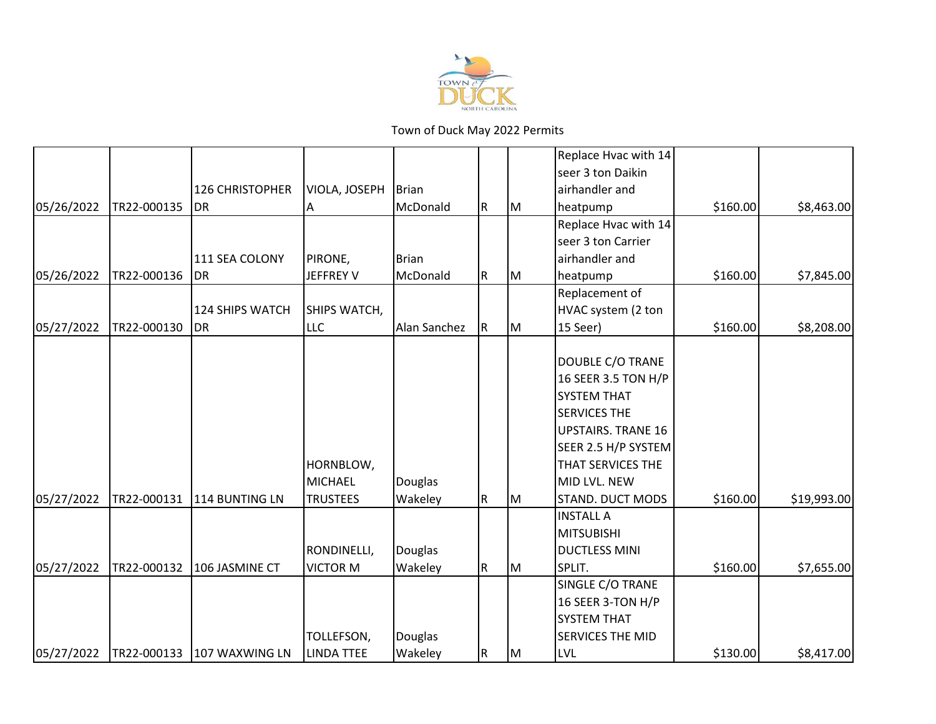

|            |             |                        |                   |              |             |    | Replace Hvac with 14      |          |             |
|------------|-------------|------------------------|-------------------|--------------|-------------|----|---------------------------|----------|-------------|
|            |             |                        |                   |              |             |    | seer 3 ton Daikin         |          |             |
|            |             | <b>126 CHRISTOPHER</b> | VIOLA, JOSEPH     | Brian        |             |    | airhandler and            |          |             |
| 05/26/2022 | TR22-000135 | <b>DR</b>              | A                 | McDonald     | R           | Iм | heatpump                  | \$160.00 | \$8,463.00  |
|            |             |                        |                   |              |             |    | Replace Hvac with 14      |          |             |
|            |             |                        |                   |              |             |    | seer 3 ton Carrier        |          |             |
|            |             | 111 SEA COLONY         | PIRONE,           | Brian        |             |    | airhandler and            |          |             |
| 05/26/2022 | TR22-000136 | <b>DR</b>              | <b>JEFFREY V</b>  | McDonald     | $\mathsf R$ | Iм | heatpump                  | \$160.00 | \$7,845.00  |
|            |             |                        |                   |              |             |    | Replacement of            |          |             |
|            |             | 124 SHIPS WATCH        | SHIPS WATCH,      |              |             |    | HVAC system (2 ton        |          |             |
| 05/27/2022 | TR22-000130 | <b>DR</b>              | <b>LLC</b>        | Alan Sanchez | $\mathsf R$ | Iм | 15 Seer)                  | \$160.00 | \$8,208.00  |
|            |             |                        |                   |              |             |    |                           |          |             |
|            |             |                        |                   |              |             |    | DOUBLE C/O TRANE          |          |             |
|            |             |                        |                   |              |             |    | 16 SEER 3.5 TON H/P       |          |             |
|            |             |                        |                   |              |             |    | <b>SYSTEM THAT</b>        |          |             |
|            |             |                        |                   |              |             |    | <b>SERVICES THE</b>       |          |             |
|            |             |                        |                   |              |             |    | <b>UPSTAIRS. TRANE 16</b> |          |             |
|            |             |                        |                   |              |             |    | SEER 2.5 H/P SYSTEM       |          |             |
|            |             |                        | HORNBLOW,         |              |             |    | THAT SERVICES THE         |          |             |
|            |             |                        | <b>MICHAEL</b>    | Douglas      |             |    | MID LVL. NEW              |          |             |
| 05/27/2022 | TR22-000131 | 114 BUNTING LN         | <b>TRUSTEES</b>   | Wakeley      | $\mathsf R$ | IМ | STAND. DUCT MODS          | \$160.00 | \$19,993.00 |
|            |             |                        |                   |              |             |    | <b>INSTALL A</b>          |          |             |
|            |             |                        |                   |              |             |    | <b>MITSUBISHI</b>         |          |             |
|            |             |                        | RONDINELLI,       | Douglas      |             |    | <b>DUCTLESS MINI</b>      |          |             |
| 05/27/2022 | TR22-000132 | 106 JASMINE CT         | <b>VICTOR M</b>   | Wakeley      | $\mathsf R$ | Iм | SPLIT.                    | \$160.00 | \$7,655.00  |
|            |             |                        |                   |              |             |    | SINGLE C/O TRANE          |          |             |
|            |             |                        |                   |              |             |    | 16 SEER 3-TON H/P         |          |             |
|            |             |                        |                   |              |             |    | <b>SYSTEM THAT</b>        |          |             |
|            |             |                        | TOLLEFSON,        | Douglas      |             |    | <b>SERVICES THE MID</b>   |          |             |
| 05/27/2022 | TR22-000133 | 107 WAXWING LN         | <b>LINDA TTEE</b> | Wakeley      | ${\sf R}$   | Iм | <b>LVL</b>                | \$130.00 | \$8,417.00  |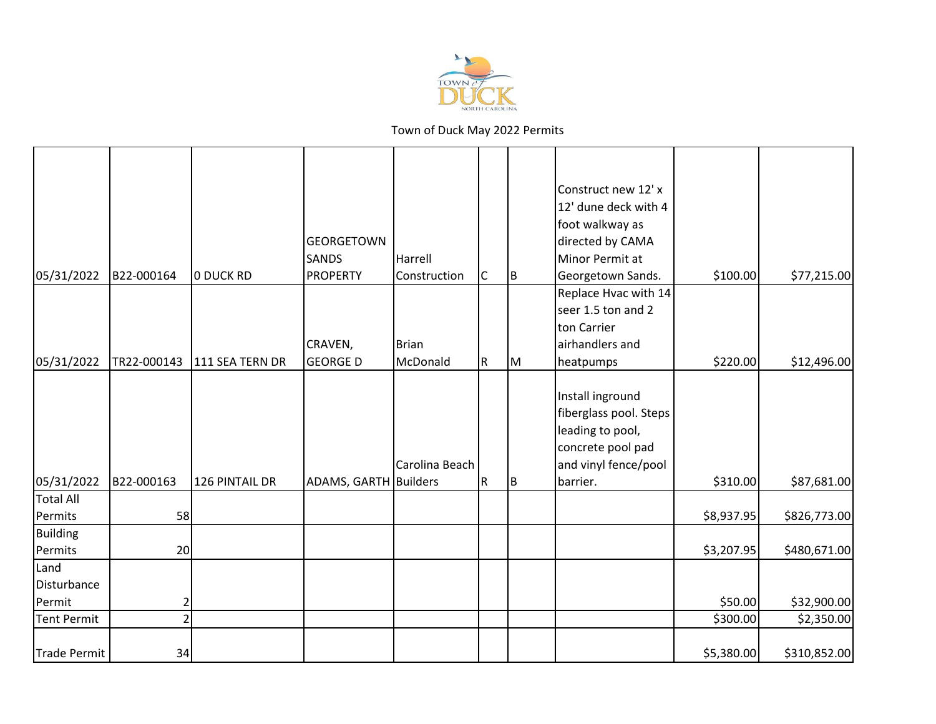

|                     |                |                 |                       |                |             |          | Construct new 12' x    |            |              |
|---------------------|----------------|-----------------|-----------------------|----------------|-------------|----------|------------------------|------------|--------------|
|                     |                |                 |                       |                |             |          | 12' dune deck with 4   |            |              |
|                     |                |                 |                       |                |             |          | foot walkway as        |            |              |
|                     |                |                 | <b>GEORGETOWN</b>     |                |             |          | directed by CAMA       |            |              |
|                     |                |                 | <b>SANDS</b>          | Harrell        |             |          | Minor Permit at        |            |              |
| 05/31/2022          | B22-000164     | O DUCK RD       | <b>PROPERTY</b>       | Construction   | $\mathsf C$ | <b>B</b> | Georgetown Sands.      | \$100.00   | \$77,215.00  |
|                     |                |                 |                       |                |             |          | Replace Hvac with 14   |            |              |
|                     |                |                 |                       |                |             |          | seer 1.5 ton and 2     |            |              |
|                     |                |                 |                       |                |             |          | ton Carrier            |            |              |
|                     |                |                 | CRAVEN,               | <b>Brian</b>   |             |          | airhandlers and        |            |              |
| 05/31/2022          | TR22-000143    | 111 SEA TERN DR | <b>GEORGE D</b>       | McDonald       | $\mathsf R$ | Iм       | heatpumps              | \$220.00   | \$12,496.00  |
|                     |                |                 |                       |                |             |          |                        |            |              |
|                     |                |                 |                       |                |             |          | Install inground       |            |              |
|                     |                |                 |                       |                |             |          | fiberglass pool. Steps |            |              |
|                     |                |                 |                       |                |             |          | leading to pool,       |            |              |
|                     |                |                 |                       |                |             |          | concrete pool pad      |            |              |
|                     |                |                 |                       | Carolina Beach |             |          | and vinyl fence/pool   |            |              |
| 05/31/2022          | B22-000163     | 126 PINTAIL DR  | ADAMS, GARTH Builders |                | $\mathsf R$ | Iв.      | barrier.               | \$310.00   | \$87,681.00  |
| <b>Total All</b>    |                |                 |                       |                |             |          |                        |            |              |
| Permits             | 58             |                 |                       |                |             |          |                        | \$8,937.95 | \$826,773.00 |
| Building            |                |                 |                       |                |             |          |                        |            |              |
| Permits             | 20             |                 |                       |                |             |          |                        | \$3,207.95 | \$480,671.00 |
| Land<br>Disturbance |                |                 |                       |                |             |          |                        |            |              |
| Permit              | $\overline{c}$ |                 |                       |                |             |          |                        | \$50.00    | \$32,900.00  |
| <b>Tent Permit</b>  | $\overline{2}$ |                 |                       |                |             |          |                        | \$300.00   | \$2,350.00   |
|                     |                |                 |                       |                |             |          |                        |            |              |
| Trade Permit        | 34             |                 |                       |                |             |          |                        | \$5,380.00 | \$310,852.00 |